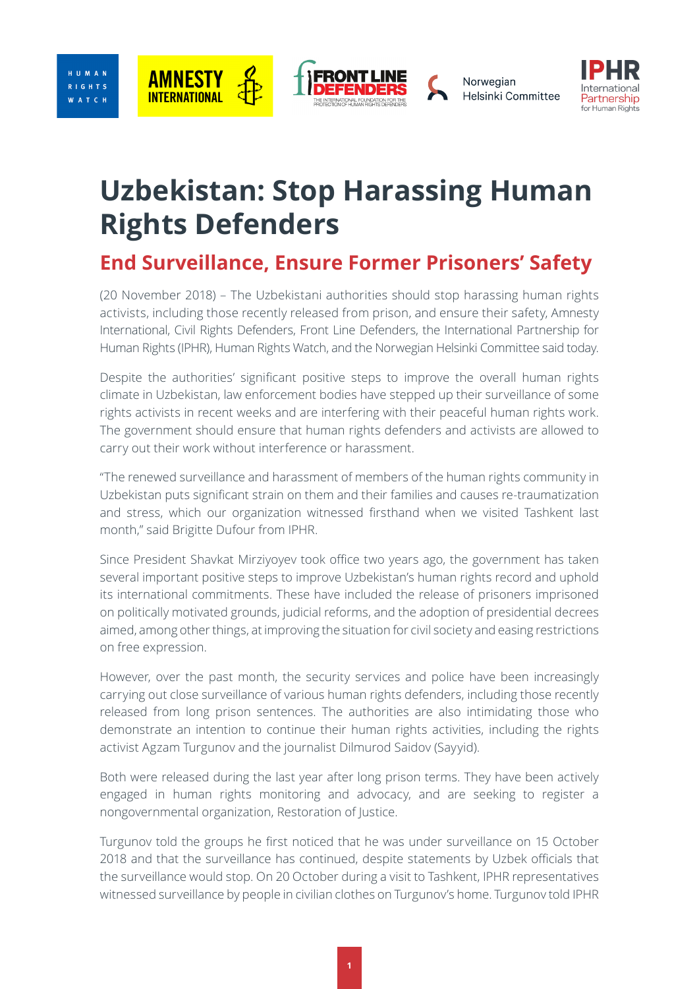







## **Uzbekistan: Stop Harassing Human Rights Defenders**

## **End Surveillance, Ensure Former Prisoners' Safety**

(20 November 2018) – The [Uzbek](https://www.hrw.org/europe/central-asia/uzbekistan)istani authorities should stop harassing human rights activists, including those recently released from prison, and ensure their safety, Amnesty International, Civil Rights Defenders, Front Line Defenders, the International Partnership for Human Rights (IPHR), Human Rights Watch, and the Norwegian Helsinki Committee said today.

Despite the authorities' significant positive steps to improve the overall human rights climate in Uzbekistan, law enforcement bodies have stepped up their surveillance of some rights activists in recent weeks and are interfering with their peaceful human rights work. The government should ensure that human rights defenders and activists are allowed to carry out their work without interference or harassment.

"The renewed surveillance and harassment of members of the human rights community in Uzbekistan puts significant strain on them and their families and causes re-traumatization and stress, which our organization witnessed firsthand when we visited Tashkent last month," said Brigitte Dufour from IPHR.

Since President Shavkat Mirziyoyev took office two years ago, the government has taken several important positive steps to improve Uzbekistan's human rights record and uphold its international commitments. These have included the release of prisoners imprisoned on politically motivated grounds, judicial reforms, and the adoption of presidential decrees aimed, among other things, at improving the situation for civil society and easing restrictions on free expression.

However, over the past month, the security services and police have been increasingly carrying out close surveillance of various human rights defenders, including those recently released from long prison sentences. The authorities are also intimidating those who demonstrate an intention to continue their human rights activities, including the rights activist Agzam Turgunov and the journalist Dilmurod Saidov (Sayyid).

Both were released during the last year after long prison terms. They have been actively engaged in human rights monitoring and advocacy, and are seeking to register a nongovernmental organization, Restoration of Justice.

Turgunov told the groups he first noticed that he was under surveillance on 15 October 2018 and that the surveillance has continued, despite statements by Uzbek officials that the surveillance would stop. On 20 October during a visit to Tashkent, IPHR representatives witnessed surveillance by people in civilian clothes on Turgunov's home. Turgunov told IPHR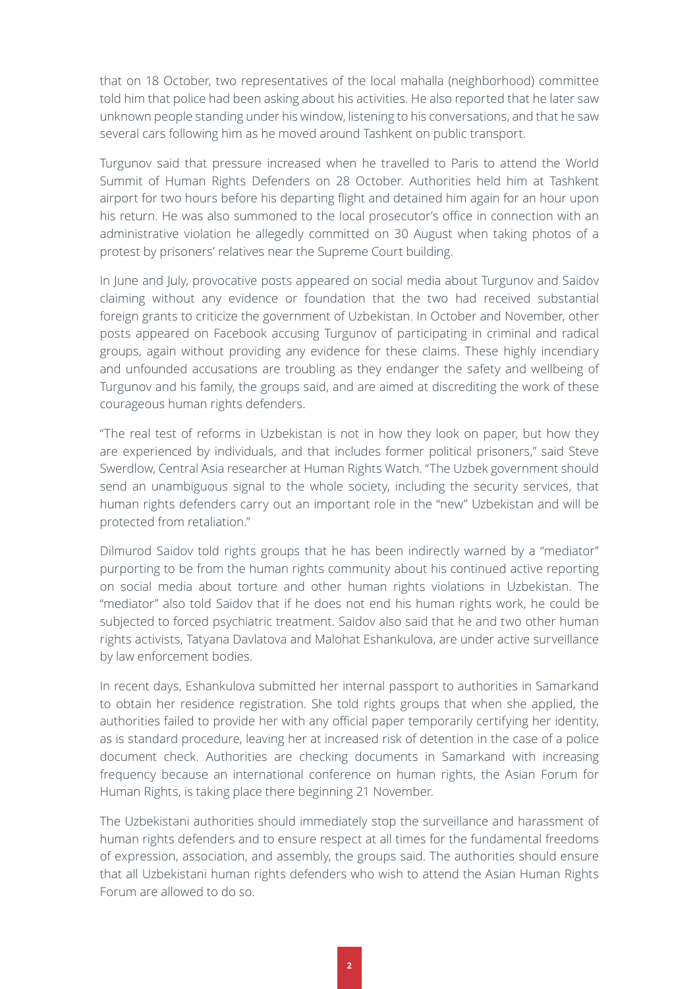that on 18 October, two representatives of the local mahalla (neighborhood) committee told him that police had been asking about his activities. He also reported that he later saw unknown people standing under his window, listening to his conversations, and that he saw several cars following him as he moved around Tashkent on public transport.

Turgunov said that pressure increased when he travelled to Paris to attend the World Summit of Human Rights Defenders on 28 October. Authorities held him at Tashkent airport for two hours before his departing flight and detained him again for an hour upon his return. He was also summoned to the local prosecutor's office in connection with an administrative violation he allegedly committed on 30 August when taking photos of a protest by prisoners' relatives near the Supreme Court building.

In June and July, provocative posts appeared on social media about Turgunov and Saidov claiming without any evidence or foundation that the two had received substantial foreign grants to criticize the government of Uzbekistan. In October and November, other posts appeared on Facebook accusing Turgunov of participating in criminal and radical groups, again without providing any evidence for these claims. These highly incendiary and unfounded accusations are troubling as they endanger the safety and wellbeing of Turgunov and his family, the groups said, and are aimed at discrediting the work of these courageous human rights defenders.

"The real test of reforms in Uzbekistan is not in how they look on paper, but how they are experienced by individuals, and that includes former political prisoners," said [Steve](https://www.hrw.org/about/people/steve-swerdlow) [Swerdlow](https://www.hrw.org/about/people/steve-swerdlow), Central Asia researcher at Human Rights Watch. "The Uzbek government should send an unambiguous signal to the whole society, including the security services, that human rights defenders carry out an important role in the "new" Uzbekistan and will be protected from retaliation."

Dilmurod Saidov told rights groups that he has been indirectly warned by a "mediator" purporting to be from the human rights community about his continued active reporting on social media about torture and other human rights violations in Uzbekistan. The "mediator" also told Saidov that if he does not end his human rights work, he could be subjected to forced psychiatric treatment. Saidov also said that he and two other human rights activists, Tatyana Davlatova and Malohat Eshankulova, are under active surveillance by law enforcement bodies.

In recent days, Eshankulova submitted her internal passport to authorities in Samarkand to obtain her residence registration. She told rights groups that when she applied, the authorities failed to provide her with any official paper temporarily certifying her identity, as is standard procedure, leaving her at increased risk of detention in the case of a police document check. Authorities are checking documents in Samarkand with increasing frequency because an international conference on human rights, the Asian Forum for Human Rights, is taking place there beginning 21 November.

The Uzbekistani authorities should immediately stop the surveillance and harassment of human rights defenders and to ensure respect at all times for the fundamental freedoms of expression, association, and assembly, the groups said. The authorities should ensure that all Uzbekistani human rights defenders who wish to attend the Asian Human Rights Forum are allowed to do so.